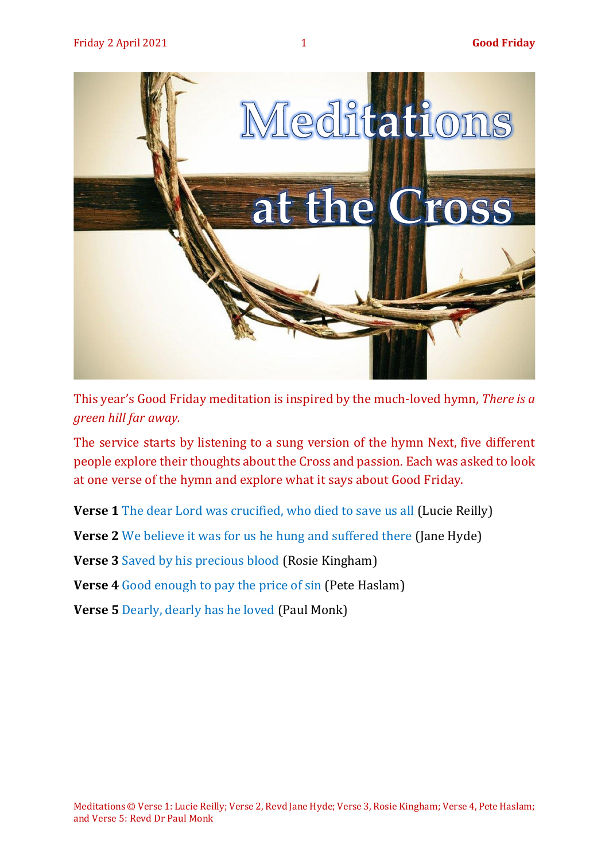

This year's Good Friday meditation is inspired by the much-loved hymn, *There is a green hill far away.* 

The service starts by listening to a sung version of the hymn Next, five different people explore their thoughts about the Cross and passion. Each was asked to look at one verse of the hymn and explore what it says about Good Friday.

**Verse 1** The [dear Lord was crucified, who died to save us all](#page-2-0) (Lucie Reilly)

**Verse 2** We believe it was for us [he hung and suffered there](#page-4-0) (Jane Hyde)

**Verse 3** [Saved by his precious blood](#page-6-0) (Rosie Kingham)

**Verse 4** Good enough [to pay the price of sin](#page-7-0) (Pete Haslam)

**Verse 5** [Dearly, dearly has he loved](#page-9-0) (Paul Monk)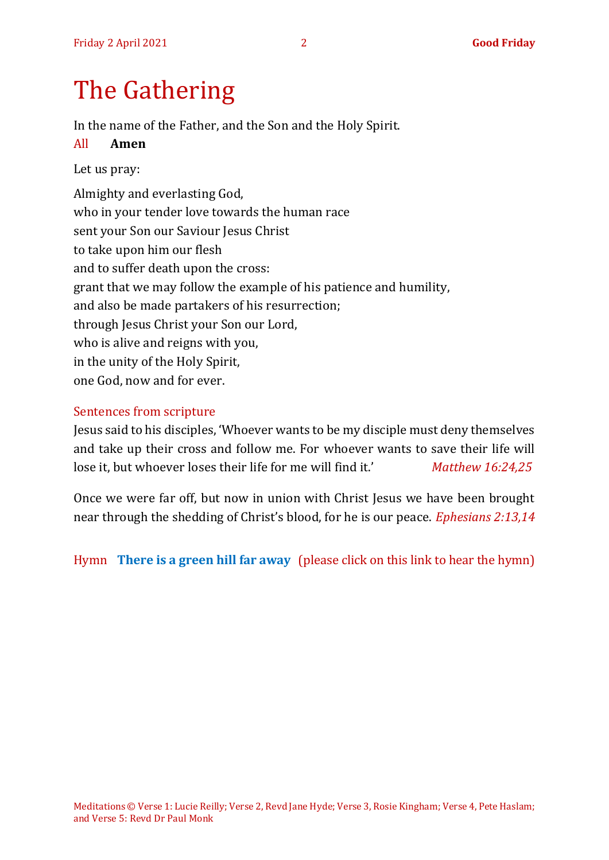# The Gathering

In the name of the Father, and the Son and the Holy Spirit.

#### All **Amen**

#### Let us pray:

Almighty and everlasting God, who in your tender love towards the human race sent your Son our Saviour Jesus Christ to take upon him our flesh and to suffer death upon the cross: grant that we may follow the example of his patience and humility, and also be made partakers of his resurrection; through Jesus Christ your Son our Lord, who is alive and reigns with you, in the unity of the Holy Spirit, one God, now and for ever.

#### Sentences from scripture

Jesus said to his disciples, 'Whoever wants to be my disciple must deny themselves and take up their cross and follow me. For whoever wants to save their life will lose it, but whoever loses their life for me will find it.' *Matthew 16:24,25*

Once we were far off, but now in union with Christ Jesus we have been brought near through the shedding of Christ's blood, for he is our peace. *Ephesians 2:13,14*

Hymn **[There is a green hill far away](https://www.youtube.com/watch?v=MupXfT-uvyY)** (please click on this link to hear the hymn)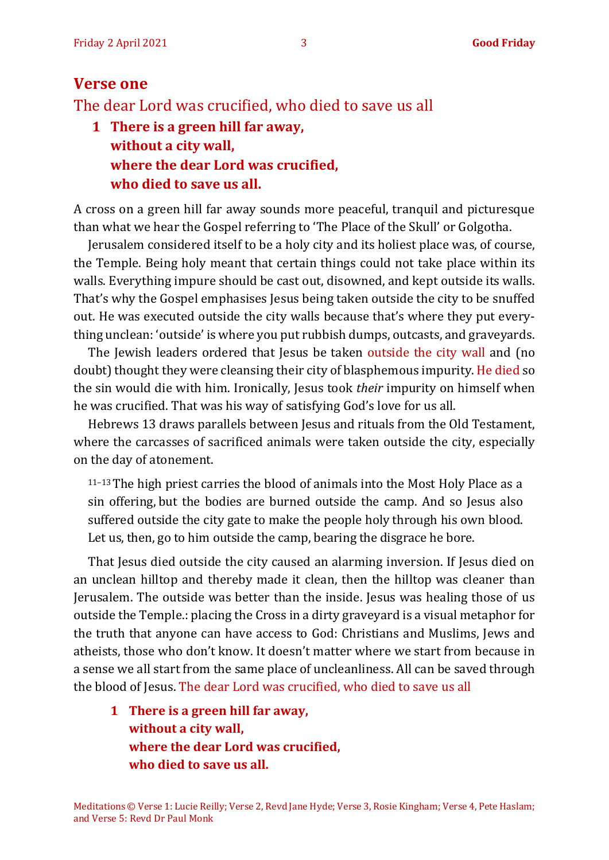#### <span id="page-2-0"></span>**Verse one**

The dear Lord was crucified, who died to save us all

**1 There is a green hill far away, without a city wall, where the dear Lord was crucified, who died to save us all.**

A cross on a green hill far away sounds more peaceful, tranquil and picturesque than what we hear the Gospel referring to 'The Place of the Skull' or Golgotha.

Jerusalem considered itself to be a holy city and its holiest place was, of course, the Temple. Being holy meant that certain things could not take place within its walls. Everything impure should be cast out, disowned, and kept outside its walls. That's why the Gospel emphasises Jesus being taken outside the city to be snuffed out. He was executed outside the city walls because that's where they put everything unclean: 'outside' is where you put rubbish dumps, outcasts, and graveyards.

The Jewish leaders ordered that Jesus be taken outside the city wall and (no doubt) thought they were cleansing their city of blasphemous impurity. He died so the sin would die with him. Ironically, Jesus took *their* impurity on himself when he was crucified. That was his way of satisfying God's love for us all.

[Hebrews 13](https://biblia.com/bible/niv/Heb%2013.11%E2%80%9313) draws parallels between Jesus and rituals from the Old Testament, where the carcasses of sacrificed animals were taken outside the city, especially on the day of atonement.

<sup>11</sup>–13The high priest carries the blood of animals into the Most Holy Place as a sin offering, but the bodies are burned outside the camp. And so Jesus also suffered outside the city gate to make the people holy through his own blood. Let us, then, go to him outside the camp, bearing the disgrace he bore.

That Jesus died outside the city caused an alarming inversion. If Jesus died on an unclean hilltop and thereby made it clean, then the hilltop was cleaner than Jerusalem. The outside was better than the inside. Jesus was healing those of us outside the Temple.: placing the Cross in a dirty graveyard is a visual metaphor for the truth that anyone can have access to God: Christians and Muslims, Jews and atheists, those who don't know. It doesn't matter where we start from because in a sense we all start from the same place of uncleanliness. All can be saved through the blood of Jesus. The dear Lord was crucified, who died to save us all

**1 There is a green hill far away, without a city wall, where the dear Lord was crucified, who died to save us all.**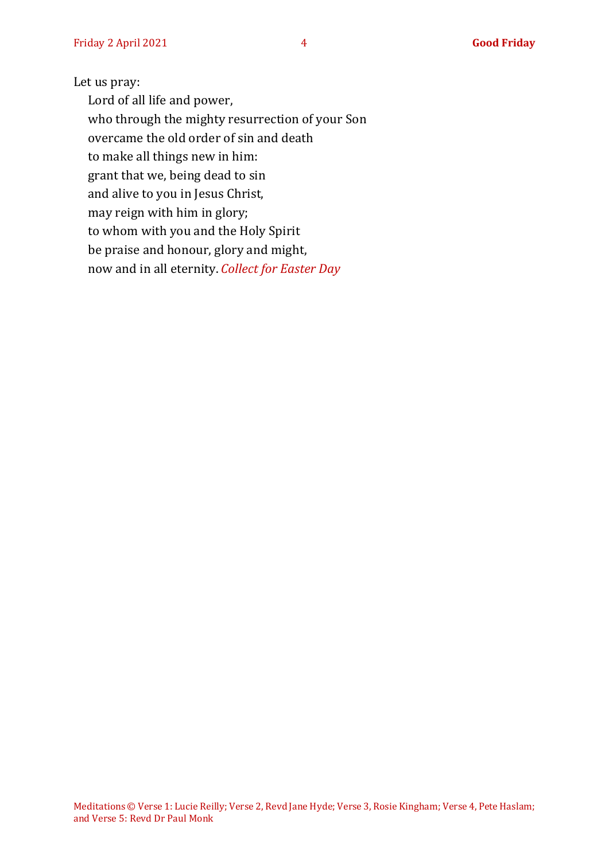#### Let us pray:

Lord of all life and power, who through the mighty resurrection of your Son overcame the old order of sin and death to make all things new in him: grant that we, being dead to sin and alive to you in Jesus Christ, may reign with him in glory; to whom with you and the Holy Spirit be praise and honour, glory and might, now and in all eternity. *Collect for Easter Day*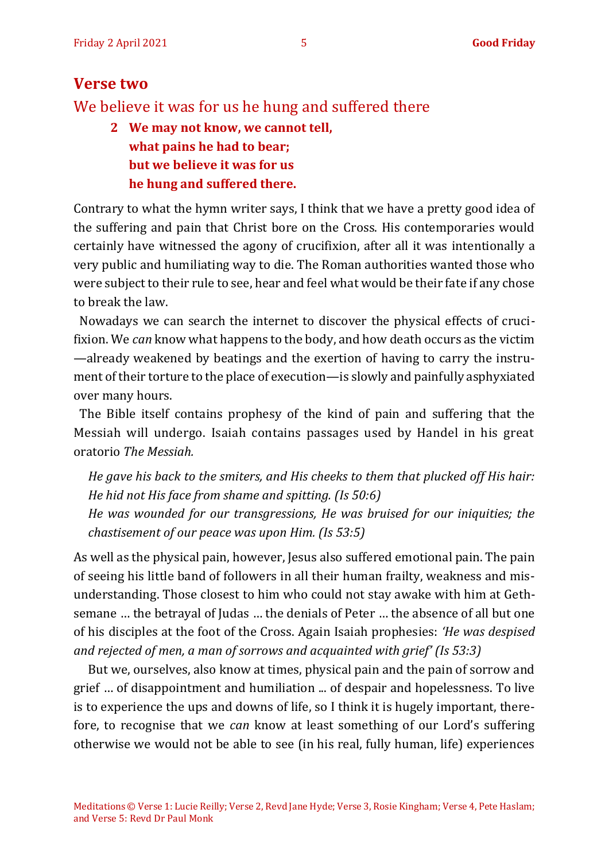## <span id="page-4-0"></span>**Verse two**

We believe it was for us he hung and suffered there

**2 We may not know, we cannot tell, what pains he had to bear; but we believe it was for us he hung and suffered there.**

Contrary to what the hymn writer says, I think that we have a pretty good idea of the suffering and pain that Christ bore on the Cross. His contemporaries would certainly have witnessed the agony of crucifixion, after all it was intentionally a very public and humiliating way to die. The Roman authorities wanted those who were subject to their rule to see, hear and feel what would be their fate if any chose to break the law.

Nowadays we can search the internet to discover the physical effects of crucifixion. We *can* know what happens to the body, and how death occurs as the victim —already weakened by beatings and the exertion of having to carry the instrument of their torture to the place of execution—is slowly and painfully asphyxiated over many hours.

 The Bible itself contains prophesy of the kind of pain and suffering that the Messiah will undergo. Isaiah contains passages used by Handel in his great oratorio *The Messiah.*

*He gave his back to the smiters, and His cheeks to them that plucked off His hair: He hid not His face from shame and spitting. (Is 50:6)*

*He was wounded for our transgressions, He was bruised for our iniquities; the chastisement of our peace was upon Him. (Is 53:5)*

As well as the physical pain, however, Jesus also suffered emotional pain. The pain of seeing his little band of followers in all their human frailty, weakness and misunderstanding. Those closest to him who could not stay awake with him at Gethsemane … the betrayal of Judas … the denials of Peter … the absence of all but one of his disciples at the foot of the Cross. Again Isaiah prophesies: *'He was despised and rejected of men, a man of sorrows and acquainted with grief' (Is 53:3)*

But we, ourselves, also know at times, physical pain and the pain of sorrow and grief … of disappointment and humiliation ... of despair and hopelessness. To live is to experience the ups and downs of life, so I think it is hugely important, therefore, to recognise that we *can* know at least something of our Lord's suffering otherwise we would not be able to see (in his real, fully human, life) experiences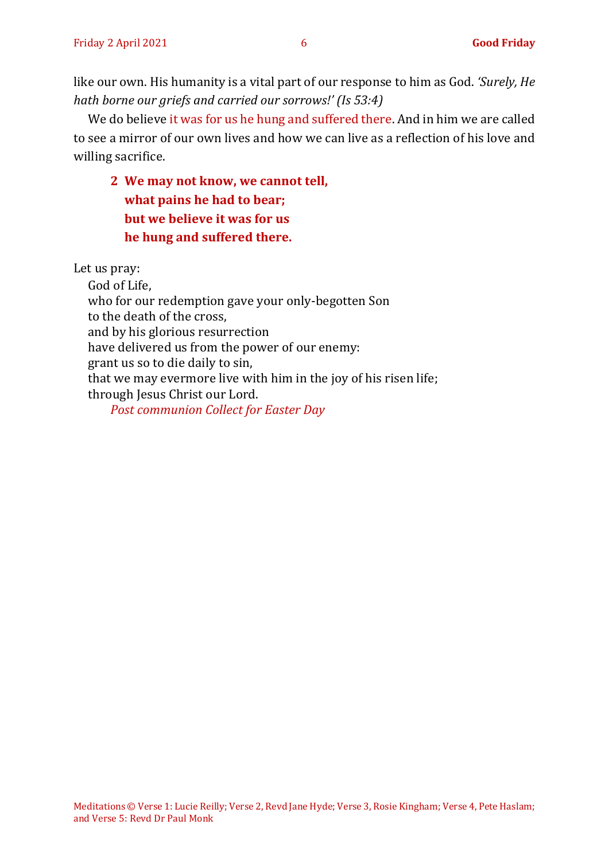like our own. His humanity is a vital part of our response to him as God. *'Surely, He hath borne our griefs and carried our sorrows!' (Is 53:4)*

We do believe it was for us he hung and suffered there. And in him we are called to see a mirror of our own lives and how we can live as a reflection of his love and willing sacrifice.

# **2 We may not know, we cannot tell, what pains he had to bear; but we believe it was for us he hung and suffered there.**

Let us pray:

God of Life, who for our redemption gave your only-begotten Son to the death of the cross, and by his glorious resurrection have delivered us from the power of our enemy: grant us so to die daily to sin, that we may evermore live with him in the joy of his risen life; through Jesus Christ our Lord. *Post communion Collect for Easter Day*

Meditations © Verse 1: Lucie Reilly; Verse 2, Revd Jane Hyde; Verse 3, Rosie Kingham; Verse 4, Pete Haslam; and Verse 5: Revd Dr Paul Monk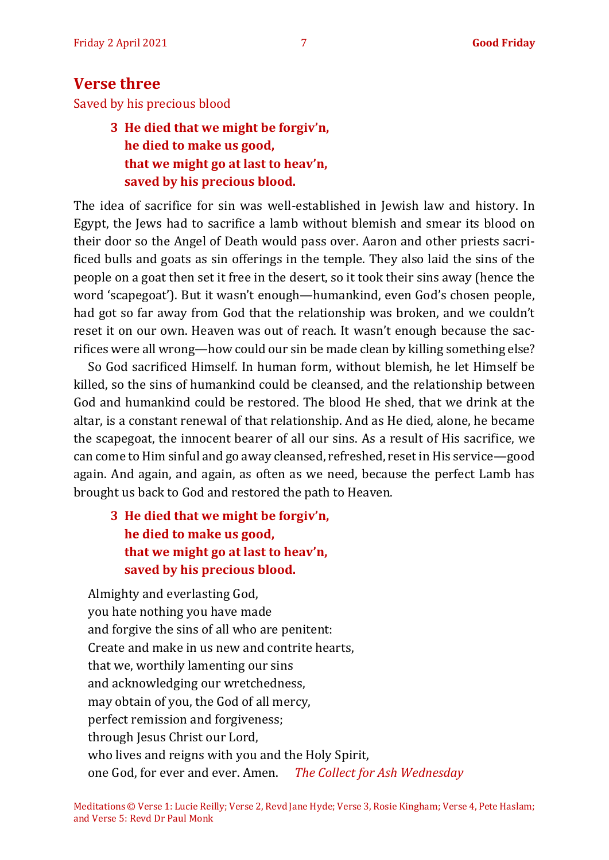## <span id="page-6-0"></span>**Verse three**

Saved by his precious blood

## **3 He died that we might be forgiv'n, he died to make us good, that we might go at last to heav'n, saved by his precious blood.**

The idea of sacrifice for sin was well-established in Jewish law and history. In Egypt, the Jews had to sacrifice a lamb without blemish and smear its blood on their door so the Angel of Death would pass over. Aaron and other priests sacrificed bulls and goats as sin offerings in the temple. They also laid the sins of the people on a goat then set it free in the desert, so it took their sins away (hence the word 'scapegoat'). But it wasn't enough—humankind, even God's chosen people, had got so far away from God that the relationship was broken, and we couldn't reset it on our own. Heaven was out of reach. It wasn't enough because the sacrifices were all wrong—how could our sin be made clean by killing something else?

So God sacrificed Himself. In human form, without blemish, he let Himself be killed, so the sins of humankind could be cleansed, and the relationship between God and humankind could be restored. The blood He shed, that we drink at the altar, is a constant renewal of that relationship. And as He died, alone, he became the scapegoat, the innocent bearer of all our sins. As a result of His sacrifice, we can come to Him sinful and go away cleansed, refreshed, reset in His service—good again. And again, and again, as often as we need, because the perfect Lamb has brought us back to God and restored the path to Heaven.

## **3 He died that we might be forgiv'n, he died to make us good, that we might go at last to heav'n, saved by his precious blood.**

Almighty and everlasting God, you hate nothing you have made and forgive the sins of all who are penitent: Create and make in us new and contrite hearts, that we, worthily lamenting our sins and acknowledging our wretchedness, may obtain of you, the God of all mercy, perfect remission and forgiveness; through Jesus Christ our Lord, who lives and reigns with you and the Holy Spirit, one God, for ever and ever. Amen. *The Collect for Ash Wednesday*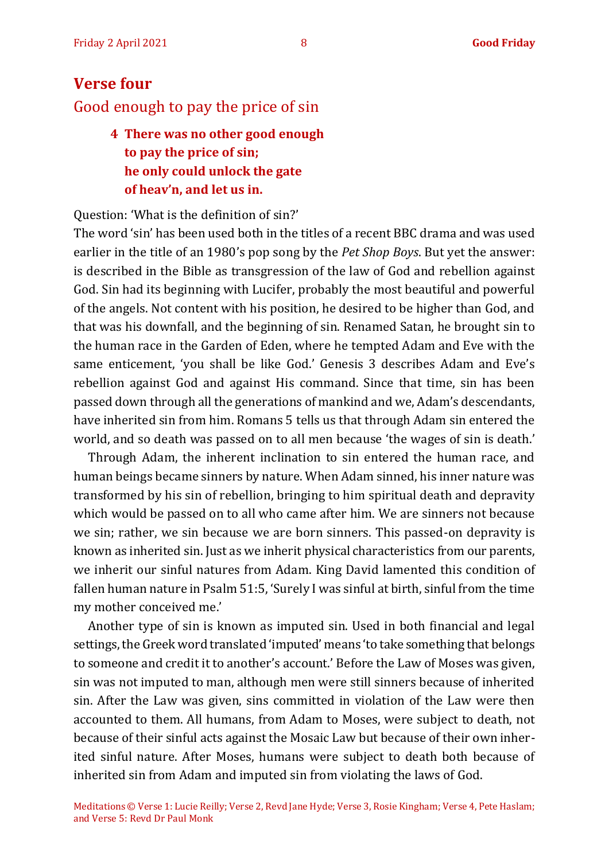# <span id="page-7-0"></span>**Verse four** Good enough to pay the price of sin

# **4 There was no other good enough to pay the price of sin; he only could unlock the gate of heav'n, and let us in.**

Question: 'What is the definition of sin?'

The word 'sin' has been used both in the titles of a recent BBC drama and was used earlier in the title of an 1980's pop song by the *Pet Shop Boys*. But yet the answer: is described in the Bible as transgression of the law of God and rebellion against God. Sin had its beginning with Lucifer, probably the most beautiful and powerful of the angels. Not content with his position, he desired to be higher than God, and that was his downfall, and the beginning of sin. Renamed Satan, he brought sin to the human race in the Garden of Eden, where he tempted Adam and Eve with the same enticement, 'you shall be like God.' Genesis 3 describes Adam and Eve's rebellion against God and against His command. Since that time, sin has been passed down through all the generations of mankind and we, Adam's descendants, have inherited sin from him. Romans 5 tells us that through Adam sin entered the world, and so death was passed on to all men because 'the wages of sin is death.'

Through Adam, the inherent inclination to sin entered the human race, and human beings became sinners by nature. When Adam sinned, his inner nature was transformed by his sin of rebellion, bringing to him spiritual death and depravity which would be passed on to all who came after him. We are sinners not because we sin; rather, we sin because we are born sinners. This passed-on depravity is known as inherited sin. Just as we inherit physical characteristics from our parents, we inherit our sinful natures from Adam. King David lamented this condition of fallen human nature in Psalm 51:5, 'Surely I was sinful at birth, sinful from the time my mother conceived me.'

Another type of sin is known as imputed sin. Used in both financial and legal settings, the Greek word translated 'imputed' means 'to take something that belongs to someone and credit it to another's account.' Before the Law of Moses was given, sin was not imputed to man, although men were still sinners because of inherited sin. After the Law was given, sins committed in violation of the Law were then accounted to them. All humans, from Adam to Moses, were subject to death, not because of their sinful acts against the Mosaic Law but because of their own inherited sinful nature. After Moses, humans were subject to death both because of inherited sin from Adam and imputed sin from violating the laws of God.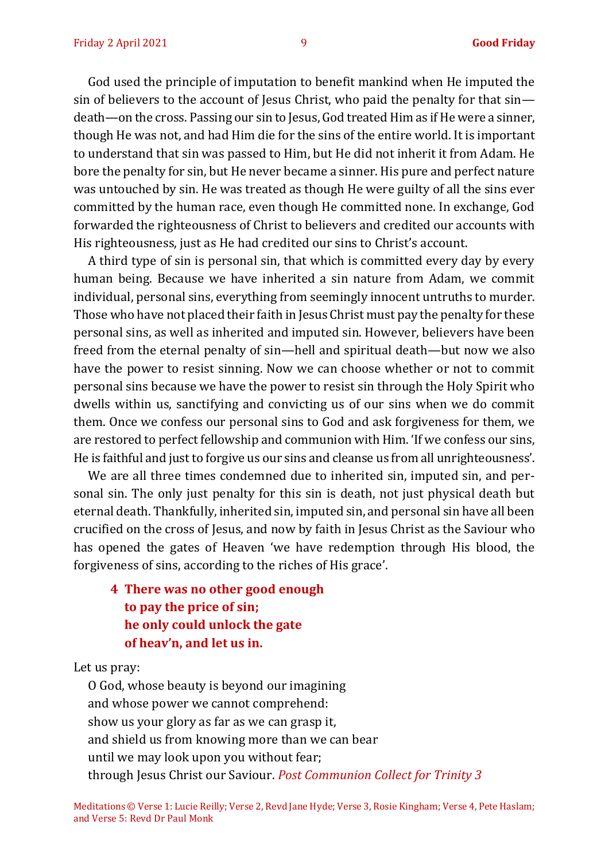God used the principle of imputation to benefit mankind when He imputed the sin of believers to the account of Jesus Christ, who paid the penalty for that sin death—on the cross. Passing our sin to Jesus, God treated Him as if He were a sinner, though He was not, and had Him die for the sins of the entire world. It is important to understand that sin was passed to Him, but He did not inherit it from Adam. He bore the penalty for sin, but He never became a sinner. His pure and perfect nature was untouched by sin. He was treated as though He were guilty of all the sins ever committed by the human race, even though He committed none. In exchange, God forwarded the righteousness of Christ to believers and credited our accounts with His righteousness, just as He had credited our sins to Christ's account.

A third type of sin is personal sin, that which is committed every day by every human being. Because we have inherited a sin nature from Adam, we commit individual, personal sins, everything from seemingly innocent untruths to murder. Those who have not placed their faith in Jesus Christ must pay the penalty for these personal sins, as well as inherited and imputed sin. However, believers have been freed from the eternal penalty of sin—hell and spiritual death—but now we also have the power to resist sinning. Now we can choose whether or not to commit personal sins because we have the power to resist sin through the Holy Spirit who dwells within us, sanctifying and convicting us of our sins when we do commit them. Once we confess our personal sins to God and ask forgiveness for them, we are restored to perfect fellowship and communion with Him. 'If we confess our sins, He is faithful and just to forgive us our sins and cleanse us from all unrighteousness'.

We are all three times condemned due to inherited sin, imputed sin, and personal sin. The only just penalty for this sin is death, not just physical death but eternal death. Thankfully, inherited sin, imputed sin, and personal sin have all been crucified on the cross of Jesus, and now by faith in Jesus Christ as the Saviour who has opened the gates of Heaven 'we have redemption through His blood, the forgiveness of sins, according to the riches of His grace'.

**4 There was no other good enough to pay the price of sin; he only could unlock the gate of heav'n, and let us in.**

Let us pray:

O God, whose beauty is beyond our imagining and whose power we cannot comprehend: show us your glory as far as we can grasp it, and shield us from knowing more than we can bear until we may look upon you without fear; through Jesus Christ our Saviour. *Post Communion Collect for Trinity 3*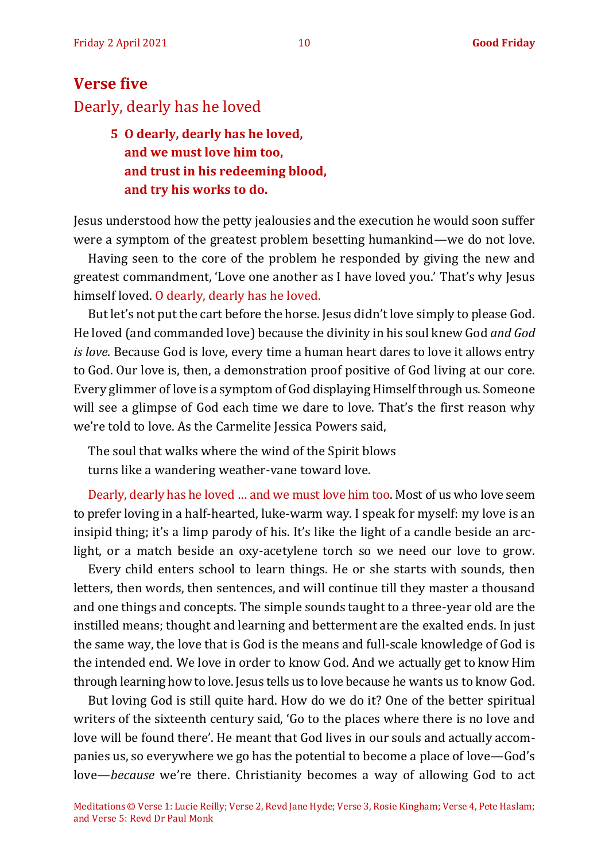# <span id="page-9-0"></span>**Verse five** Dearly, dearly has he loved

# **5 O dearly, dearly has he loved, and we must love him too, and trust in his redeeming blood, and try his works to do.**

Jesus understood how the petty jealousies and the execution he would soon suffer were a symptom of the greatest problem besetting humankind—we do not love.

Having seen to the core of the problem he responded by giving the new and greatest commandment, 'Love one another as I have loved you.' That's why Jesus himself loved. O dearly, dearly has he loved.

But let's not put the cart before the horse. Jesus didn't love simply to please God. He loved (and commanded love) because the divinity in his soul knew God *and God is love*. Because God is love, every time a human heart dares to love it allows entry to God. Our love is, then, a demonstration proof positive of God living at our core. Every glimmer of love is a symptom of God displaying Himself through us. Someone will see a glimpse of God each time we dare to love. That's the first reason why we're told to love. As the Carmelite Jessica Powers said,

The soul that walks where the wind of the Spirit blows turns like a wandering weather-vane toward love.

Dearly, dearly has he loved … and we must love him too. Most of us who love seem to prefer loving in a half-hearted, luke-warm way. I speak for myself: my love is an insipid thing; it's a limp parody of his. It's like the light of a candle beside an arclight, or a match beside an oxy-acetylene torch so we need our love to grow.

Every child enters school to learn things. He or she starts with sounds, then letters, then words, then sentences, and will continue till they master a thousand and one things and concepts. The simple sounds taught to a three-year old are the instilled means; thought and learning and betterment are the exalted ends. In just the same way, the love that is God is the means and full-scale knowledge of God is the intended end. We love in order to know God. And we actually get to know Him through learning how to love. Jesus tells us to love because he wants us to know God.

But loving God is still quite hard. How do we do it? One of the better spiritual writers of the sixteenth century said, 'Go to the places where there is no love and love will be found there'. He meant that God lives in our souls and actually accompanies us, so everywhere we go has the potential to become a place of love—God's love—*because* we're there. Christianity becomes a way of allowing God to act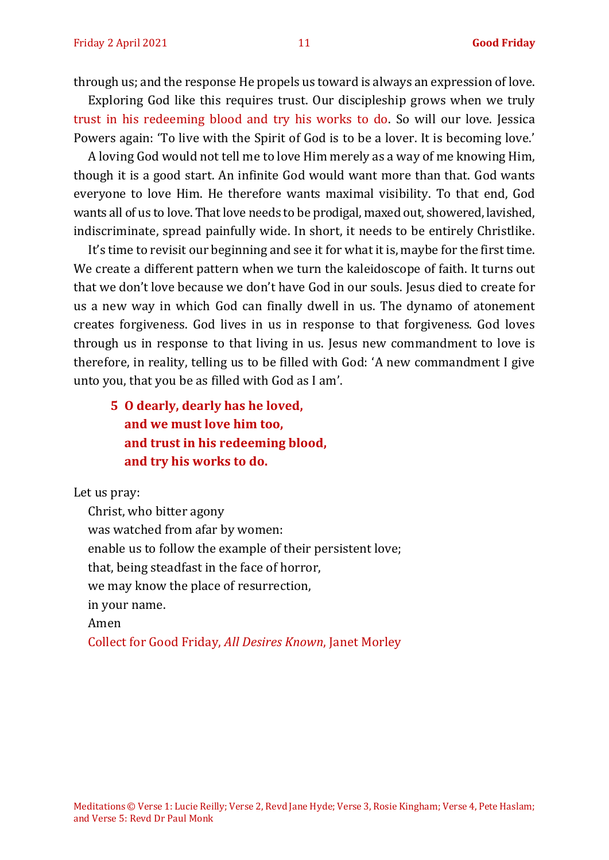through us; and the response He propels us toward is always an expression of love.

Exploring God like this requires trust. Our discipleship grows when we truly trust in his redeeming blood and try his works to do. So will our love. Jessica Powers again: 'To live with the Spirit of God is to be a lover. It is becoming love.'

A loving God would not tell me to love Him merely as a way of me knowing Him, though it is a good start. An infinite God would want more than that. God wants everyone to love Him. He therefore wants maximal visibility. To that end, God wants all of us to love. That love needs to be prodigal, maxed out, showered, lavished, indiscriminate, spread painfully wide. In short, it needs to be entirely Christlike.

It's time to revisit our beginning and see it for what it is, maybe for the first time. We create a different pattern when we turn the kaleidoscope of faith. It turns out that we don't love because we don't have God in our souls. Jesus died to create for us a new way in which God can finally dwell in us. The dynamo of atonement creates forgiveness. God lives in us in response to that forgiveness. God loves through us in response to that living in us. Jesus new commandment to love is therefore, in reality, telling us to be filled with God: 'A new commandment I give unto you, that you be as filled with God as I am'.

**5 O dearly, dearly has he loved, and we must love him too, and trust in his redeeming blood, and try his works to do.**

Let us pray:

Christ, who bitter agony was watched from afar by women: enable us to follow the example of their persistent love; that, being steadfast in the face of horror, we may know the place of resurrection, in your name. Amen

Collect for Good Friday, *All Desires Known*, Janet Morley